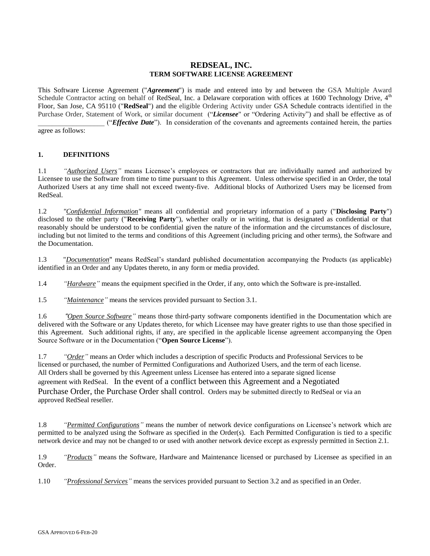# **REDSEAL, INC. TERM SOFTWARE LICENSE AGREEMENT**

This Software License Agreement ("*Agreement*") is made and entered into by and between the GSA Multiple Award Schedule Contractor acting on behalf of RedSeal, Inc. a Delaware corporation with offices at 1600 Technology Drive,  $4<sup>th</sup>$ Floor, San Jose, CA 95110 ("**RedSeal**") and the eligible Ordering Activity under GSA Schedule contracts identified in the Purchase Order, Statement of Work, or similar document ("*Licensee*" or "Ordering Activity") and shall be effective as of \_\_\_\_\_\_\_\_\_\_\_\_\_\_\_\_\_\_\_ ("*Effective Date*"). In consideration of the covenants and agreements contained herein, the parties agree as follows:

# **1. DEFINITIONS**

1.1 *"Authorized Users"* means Licensee's employees or contractors that are individually named and authorized by Licensee to use the Software from time to time pursuant to this Agreement. Unless otherwise specified in an Order, the total Authorized Users at any time shall not exceed twenty-five. Additional blocks of Authorized Users may be licensed from RedSeal.

1.2 *"Confidential Information"* means all confidential and proprietary information of a party ("**Disclosing Party**") disclosed to the other party ("**Receiving Party**"), whether orally or in writing, that is designated as confidential or that reasonably should be understood to be confidential given the nature of the information and the circumstances of disclosure, including but not limited to the terms and conditions of this Agreement (including pricing and other terms), the Software and the Documentation.

1.3 "*Documentation*" means RedSeal's standard published documentation accompanying the Products (as applicable) identified in an Order and any Updates thereto, in any form or media provided.

1.4 *"Hardware"* means the equipment specified in the Order, if any, onto which the Software is pre-installed.

1.5 *"Maintenance"* means the services provided pursuant to Section 3.1.

1.6 *"Open Source Software"* means those third-party software components identified in the Documentation which are delivered with the Software or any Updates thereto, for which Licensee may have greater rights to use than those specified in this Agreement. Such additional rights, if any, are specified in the applicable license agreement accompanying the Open Source Software or in the Documentation ("**Open Source License**").

1.7 *"Order"* means an Order which includes a description of specific Products and Professional Services to be licensed or purchased, the number of Permitted Configurations and Authorized Users, and the term of each license. All Orders shall be governed by this Agreement unless Licensee has entered into a separate signed license agreement with RedSeal. In the event of a conflict between this Agreement and a Negotiated Purchase Order, the Purchase Order shall control. Orders may be submitted directly to RedSeal or via an approved RedSeal reseller.

1.8 *"Permitted Configurations"* means the number of network device configurations on Licensee's network which are permitted to be analyzed using the Software as specified in the Order(s). Each Permitted Configuration is tied to a specific network device and may not be changed to or used with another network device except as expressly permitted in Section 2.1.

1.9 *"Products"* means the Software, Hardware and Maintenance licensed or purchased by Licensee as specified in an Order.

1.10 *"Professional Services"* means the services provided pursuant to Section 3.2 and as specified in an Order.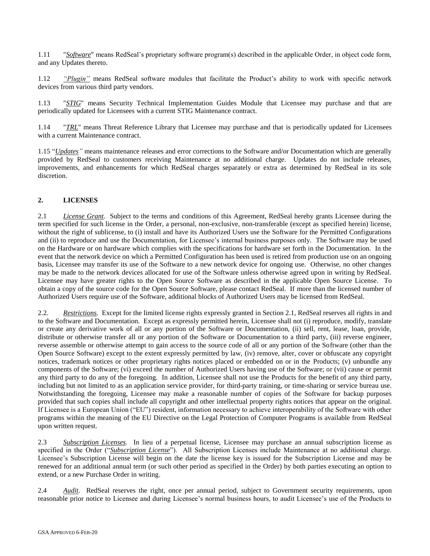1.11 "*Software*" means RedSeal's proprietary software program(s) described in the applicable Order, in object code form, and any Updates thereto.

1.12 *"Plugin"* means RedSeal software modules that facilitate the Product's ability to work with specific network devices from various third party vendors.

1.13 "*STIG*" means Security Technical Implementation Guides Module that Licensee may purchase and that are periodically updated for Licensees with a current STIG Maintenance contract.

1.14 "*TRL*" means Threat Reference Library that Licensee may purchase and that is periodically updated for Licensees with a current Maintenance contract.

1.15 "*Updates"* means maintenance releases and error corrections to the Software and/or Documentation which are generally provided by RedSeal to customers receiving Maintenance at no additional charge. Updates do not include releases, improvements, and enhancements for which RedSeal charges separately or extra as determined by RedSeal in its sole discretion.

#### **2. LICENSES**

2.1 *License Grant*. Subject to the terms and conditions of this Agreement, RedSeal hereby grants Licensee during the term specified for such license in the Order, a personal, non-exclusive, non-transferable (except as specified herein) license, without the right of sublicense, to (i) install and have its Authorized Users use the Software for the Permitted Configurations and (ii) to reproduce and use the Documentation, for Licensee's internal business purposes only. The Software may be used on the Hardware or on hardware which complies with the specifications for hardware set forth in the Documentation. In the event that the network device on which a Permitted Configuration has been used is retired from production use on an ongoing basis, Licensee may transfer its use of the Software to a new network device for ongoing use. Otherwise, no other changes may be made to the network devices allocated for use of the Software unless otherwise agreed upon in writing by RedSeal. Licensee may have greater rights to the Open Source Software as described in the applicable Open Source License. To obtain a copy of the source code for the Open Source Software, please contact RedSeal. If more than the licensed number of Authorized Users require use of the Software, additional blocks of Authorized Users may be licensed from RedSeal.

2.2. *Restrictions*. Except for the limited license rights expressly granted in Section 2.1, RedSeal reserves all rights in and to the Software and Documentation. Except as expressly permitted herein, Licensee shall not (i) reproduce, modify, translate or create any derivative work of all or any portion of the Software or Documentation, (ii) sell, rent, lease, loan, provide, distribute or otherwise transfer all or any portion of the Software or Documentation to a third party, (iii) reverse engineer, reverse assemble or otherwise attempt to gain access to the source code of all or any portion of the Software (other than the Open Source Software) except to the extent expressly permitted by law, (iv) remove, alter, cover or obfuscate any copyright notices, trademark notices or other proprietary rights notices placed or embedded on or in the Products; (v) unbundle any components of the Software; (vi) exceed the number of Authorized Users having use of the Software; or (vii) cause or permit any third party to do any of the foregoing. In addition, Licensee shall not use the Products for the benefit of any third party, including but not limited to as an application service provider, for third-party training, or time-sharing or service bureau use. Notwithstanding the foregoing, Licensee may make a reasonable number of copies of the Software for backup purposes provided that such copies shall include all copyright and other intellectual property rights notices that appear on the original. If Licensee is a European Union ("EU") resident, information necessary to achieve interoperability of the Software with other programs within the meaning of the EU Directive on the Legal Protection of Computer Programs is available from RedSeal upon written request.

2.3 *Subscription Licenses.* In lieu of a perpetual license, Licensee may purchase an annual subscription license as specified in the Order ("*Subscription License*"). All Subscription Licenses include Maintenance at no additional charge. Licensee's Subscription License will begin on the date the license key is issued for the Subscription License and may be renewed for an additional annual term (or such other period as specified in the Order) by both parties executing an option to extend, or a new Purchase Order in writing.

2.4 *Audit*. RedSeal reserves the right, once per annual period, subject to Government security requirements, upon reasonable prior notice to Licensee and during Licensee's normal business hours, to audit Licensee's use of the Products to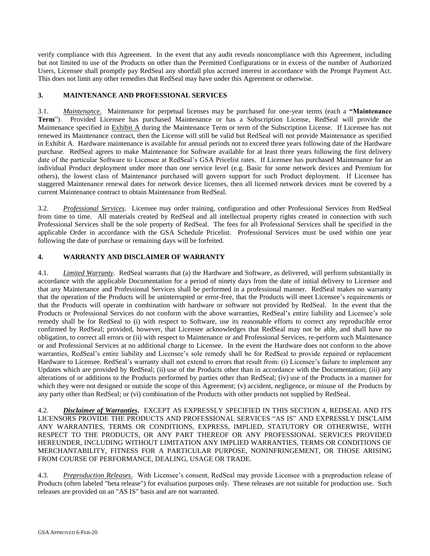verify compliance with this Agreement. In the event that any audit reveals noncompliance with this Agreement, including but not limited to use of the Products on other than the Permitted Configurations or in excess of the number of Authorized Users, Licensee shall promptly pay RedSeal any shortfall plus accrued interest in accordance with the Prompt Payment Act. This does not limit any other remedies that RedSeal may have under this Agreement or otherwise.

#### **3. MAINTENANCE AND PROFESSIONAL SERVICES**

3.1. *Maintenance*. Maintenance for perpetual licenses may be purchased for one-year terms (each a **"Maintenance Term**"). Provided Licensee has purchased Maintenance or has a Subscription License, RedSeal will provide the Maintenance specified in Exhibit A during the Maintenance Term or term of the Subscription License. If Licensee has not renewed its Maintenance contract, then the License will still be valid but RedSeal will not provide Maintenance as specified in Exhibit A. Hardware maintenance is available for annual periods not to exceed three years following date of the Hardware purchase. RedSeal agrees to make Maintenance for Software available for at least three years following the first delivery date of the particular Software to Licensee at RedSeal's GSA Pricelist rates. If Licensee has purchased Maintenance for an individual Product deployment under more than one service level (e.g. Basic for some network devices and Premium for others), the lowest class of Maintenance purchased will govern support for such Product deployment. If Licensee has staggered Maintenance renewal dates for network device licenses, then all licensed network devices must be covered by a current Maintenance contract to obtain Maintenance from RedSeal.

3.2. *Professional Services*. Licensee may order training, configuration and other Professional Services from RedSeal from time to time. All materials created by RedSeal and all intellectual property rights created in connection with such Professional Services shall be the sole property of RedSeal. The fees for all Professional Services shall be specified in the applicable Order in accordance with the GSA Schedule Pricelist. Professional Services must be used within one year following the date of purchase or remaining days will be forfeited.

## **4. WARRANTY AND DISCLAIMER OF WARRANTY**

4.1. *Limited Warranty*. RedSeal warrants that (a) the Hardware and Software, as delivered, will perform substantially in accordance with the applicable Documentation for a period of ninety days from the date of initial delivery to Licensee and that any Maintenance and Professional Services shall be performed in a professional manner. RedSeal makes no warranty that the operation of the Products will be uninterrupted or error-free, that the Products will meet Licensee's requirements or that the Products will operate in combination with hardware or software not provided by RedSeal. In the event that the Products or Professional Services do not conform with the above warranties, RedSeal's entire liability and Licensee's sole remedy shall be for RedSeal to (i) with respect to Software, use its reasonable efforts to correct any reproducible error confirmed by RedSeal; provided, however, that Licensee acknowledges that RedSeal may not be able, and shall have no obligation, to correct all errors or (ii) with respect to Maintenance or and Professional Services, re-perform such Maintenance or and Professional Services at no additional charge to Licensee. In the event the Hardware does not conform to the above warranties, RedSeal's entire liability and Licensee's sole remedy shall be for RedSeal to provide repaired or replacement Hardware to Licensee. RedSeal's warranty shall not extend to errors that result from: (i) Licensee's failure to implement any Updates which are provided by RedSeal; (ii) use of the Products other than in accordance with the Documentation; (iii) any alterations of or additions to the Products performed by parties other than RedSeal; (iv) use of the Products in a manner for which they were not designed or outside the scope of this Agreement; (v) accident, negligence, or misuse of the Products by any party other than RedSeal; or (vi) combination of the Products with other products not supplied by RedSeal.

4.2. *Disclaimer of Warranties***.** EXCEPT AS EXPRESSLY SPECIFIED IN THIS SECTION 4, REDSEAL AND ITS LICENSORS PROVIDE THE PRODUCTS AND PROFESSIONAL SERVICES "AS IS" AND EXPRESSLY DISCLAIM ANY WARRANTIES, TERMS OR CONDITIONS, EXPRESS, IMPLIED, STATUTORY OR OTHERWISE, WITH RESPECT TO THE PRODUCTS, OR ANY PART THEREOF OR ANY PROFESSIONAL SERVICES PROVIDED HEREUNDER, INCLUDING WITHOUT LIMITATION ANY IMPLIED WARRANTIES, TERMS OR CONDITIONS OF MERCHANTABILITY, FITNESS FOR A PARTICULAR PURPOSE, NONINFRINGEMENT, OR THOSE ARISING FROM COURSE OF PERFORMANCE, DEALING, USAGE OR TRADE.

4.3. *Preproduction Releases*. With Licensee's consent, RedSeal may provide Licensee with a preproduction release of Products (often labeled "beta release") for evaluation purposes only. These releases are not suitable for production use. Such releases are provided on an "AS IS" basis and are not warranted.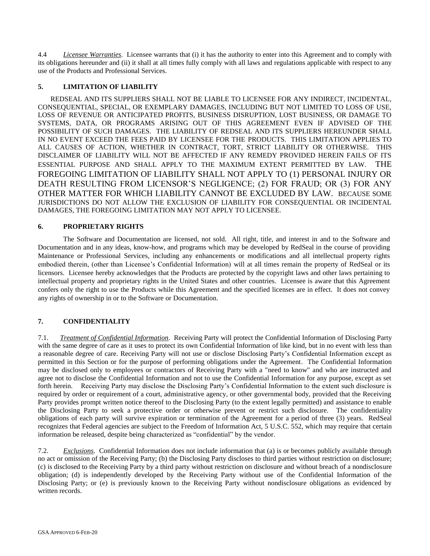4.4 *Licensee Warranties*. Licensee warrants that (i) it has the authority to enter into this Agreement and to comply with its obligations hereunder and (ii) it shall at all times fully comply with all laws and regulations applicable with respect to any use of the Products and Professional Services.

## **5. LIMITATION OF LIABILITY**

REDSEAL AND ITS SUPPLIERS SHALL NOT BE LIABLE TO LICENSEE FOR ANY INDIRECT, INCIDENTAL, CONSEQUENTIAL, SPECIAL, OR EXEMPLARY DAMAGES, INCLUDING BUT NOT LIMITED TO LOSS OF USE, LOSS OF REVENUE OR ANTICIPATED PROFITS, BUSINESS DISRUPTION, LOST BUSINESS, OR DAMAGE TO SYSTEMS, DATA, OR PROGRAMS ARISING OUT OF THIS AGREEMENT EVEN IF ADVISED OF THE POSSIBILITY OF SUCH DAMAGES. THE LIABILITY OF REDSEAL AND ITS SUPPLIERS HEREUNDER SHALL IN NO EVENT EXCEED THE FEES PAID BY LICENSEE FOR THE PRODUCTS. THIS LIMITATION APPLIES TO ALL CAUSES OF ACTION, WHETHER IN CONTRACT, TORT, STRICT LIABILITY OR OTHERWISE. THIS DISCLAIMER OF LIABILITY WILL NOT BE AFFECTED IF ANY REMEDY PROVIDED HEREIN FAILS OF ITS ESSENTIAL PURPOSE AND SHALL APPLY TO THE MAXIMUM EXTENT PERMITTED BY LAW. THE FOREGOING LIMITATION OF LIABILITY SHALL NOT APPLY TO (1) PERSONAL INJURY OR DEATH RESULTING FROM LICENSOR'S NEGLIGENCE; (2) FOR FRAUD; OR (3) FOR ANY OTHER MATTER FOR WHICH LIABILITY CANNOT BE EXCLUDED BY LAW. BECAUSE SOME JURISDICTIONS DO NOT ALLOW THE EXCLUSION OF LIABILITY FOR CONSEQUENTIAL OR INCIDENTAL DAMAGES, THE FOREGOING LIMITATION MAY NOT APPLY TO LICENSEE.

## **6. PROPRIETARY RIGHTS**

The Software and Documentation are licensed, not sold. All right, title, and interest in and to the Software and Documentation and in any ideas, know-how, and programs which may be developed by RedSeal in the course of providing Maintenance or Professional Services, including any enhancements or modifications and all intellectual property rights embodied therein, (other than Licensee's Confidential Information) will at all times remain the property of RedSeal or its licensors. Licensee hereby acknowledges that the Products are protected by the copyright laws and other laws pertaining to intellectual property and proprietary rights in the United States and other countries. Licensee is aware that this Agreement confers only the right to use the Products while this Agreement and the specified licenses are in effect. It does not convey any rights of ownership in or to the Software or Documentation.

## **7. CONFIDENTIALITY**

7.1. *Treatment of Confidential Information*. Receiving Party will protect the Confidential Information of Disclosing Party with the same degree of care as it uses to protect its own Confidential Information of like kind, but in no event with less than a reasonable degree of care. Receiving Party will not use or disclose Disclosing Party's Confidential Information except as permitted in this Section or for the purpose of performing obligations under the Agreement. The Confidential Information may be disclosed only to employees or contractors of Receiving Party with a "need to know" and who are instructed and agree not to disclose the Confidential Information and not to use the Confidential Information for any purpose, except as set forth herein. Receiving Party may disclose the Disclosing Party's Confidential Information to the extent such disclosure is required by order or requirement of a court, administrative agency, or other governmental body, provided that the Receiving Party provides prompt written notice thereof to the Disclosing Party (to the extent legally permitted) and assistance to enable the Disclosing Party to seek a protective order or otherwise prevent or restrict such disclosure. The confidentiality obligations of each party will survive expiration or termination of the Agreement for a period of three (3) years. RedSeal recognizes that Federal agencies are subject to the Freedom of Information Act, 5 U.S.C. 552, which may require that certain information be released, despite being characterized as "confidential" by the vendor.

7.2. *Exclusions*. Confidential Information does not include information that (a) is or becomes publicly available through no act or omission of the Receiving Party; (b) the Disclosing Party discloses to third parties without restriction on disclosure; (c) is disclosed to the Receiving Party by a third party without restriction on disclosure and without breach of a nondisclosure obligation; (d) is independently developed by the Receiving Party without use of the Confidential Information of the Disclosing Party; or (e) is previously known to the Receiving Party without nondisclosure obligations as evidenced by written records.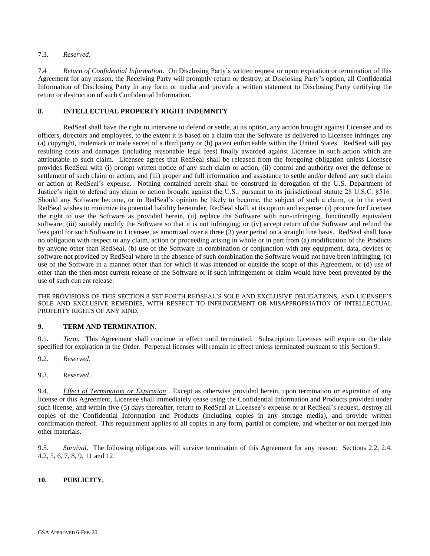#### 7.3. *Reserved*.

7.4 *Return of Confidential Information*. On Disclosing Party's written request or upon expiration or termination of this Agreement for any reason, the Receiving Party will promptly return or destroy, at Disclosing Party's option, all Confidential Information of Disclosing Party in any form or media and provide a written statement to Disclosing Party certifying the return or destruction of such Confidential Information.

#### **8. INTELLECTUAL PROPERTY RIGHT INDEMNITY**

RedSeal shall have the right to intervene to defend or settle, at its option, any action brought against Licensee and its officers, directors and employees, to the extent it is based on a claim that the Software as delivered to Licensee infringes any (a) copyright, trademark or trade secret of a third party or (b) patent enforceable within the United States. RedSeal will pay resulting costs and damages (including reasonable legal fees) finally awarded against Licensee in such action which are attributable to such claim. Licensee agrees that RedSeal shall be released from the foregoing obligation unless Licensee provides RedSeal with (i) prompt written notice of any such claim or action, (ii) control and authority over the defense or settlement of such claim or action, and (iii) proper and full information and assistance to settle and/or defend any such claim or action at RedSeal's expense. Nothing contained herein shall be construed in derogation of the U.S. Department of Justice's right to defend any claim or action brought against the U.S., pursuant to its jurisdictional statute 28 U.S.C. §516. Should any Software become, or in RedSeal's opinion be likely to become, the subject of such a claim, or in the event RedSeal wishes to minimize its potential liability hereunder, RedSeal shall, at its option and expense: (i) procure for Licensee the right to use the Software as provided herein, (ii) replace the Software with non-infringing, functionally equivalent software; (iii) suitably modify the Software so that it is not infringing; or (iv) accept return of the Software and refund the fees paid for such Software to Licensee, as amortized over a three (3) year period on a straight line basis. RedSeal shall have no obligation with respect to any claim, action or proceeding arising in whole or in part from (a) modification of the Products by anyone other than RedSeal, (b) use of the Software in combination or conjunction with any equipment, data, devices or software not provided by RedSeal where in the absence of such combination the Software would not have been infringing, (c) use of the Software in a manner other than for which it was intended or outside the scope of this Agreement, or (d) use of other than the then-most current release of the Software or if such infringement or claim would have been prevented by the use of such current release.

THE PROVISIONS OF THIS SECTION 8 SET FORTH REDSEAL'S SOLE AND EXCLUSIVE OBLIGATIONS, AND LICENSEE'S SOLE AND EXCLUSIVE REMEDIES, WITH RESPECT TO INFRINGEMENT OR MISAPPROPRIATION OF INTELLECTUAL PROPERTY RIGHTS OF ANY KIND.

#### **9. TERM AND TERMINATION.**

9.1. *Term.* This Agreement shall continue in effect until terminated. Subscription Licenses will expire on the date specified for expiration in the Order. Perpetual licenses will remain in effect unless terminated pursuant to this Section 9.

- 9.2. *Reserved*.
- 9.3. *Reserved*.

9.4. *Effect of Termination or Expiration.* Except as otherwise provided herein, upon termination or expiration of any license or this Agreement, Licensee shall immediately cease using the Confidential Information and Products provided under such license, and within five (5) days thereafter, return to RedSeal at Licensee's expense or at RedSeal's request, destroy all copies of the Confidential Information and Products (including copies in any storage media), and provide written confirmation thereof. This requirement applies to all copies in any form, partial or complete, and whether or not merged into other materials.

9.5. *Survival*. The following obligations will survive termination of this Agreement for any reason: Sections 2.2, 2.4, 4.2, 5, 6, 7, 8, 9, 11 and 12.

## **10. PUBLICITY.**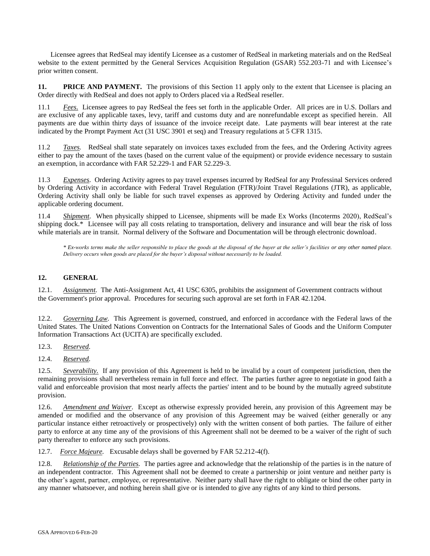Licensee agrees that RedSeal may identify Licensee as a customer of RedSeal in marketing materials and on the RedSeal website to the extent permitted by the General Services Acquisition Regulation (GSAR) 552.203-71 and with Licensee's prior written consent.

**11. PRICE AND PAYMENT.** The provisions of this Section 11 apply only to the extent that Licensee is placing an Order directly with RedSeal and does not apply to Orders placed via a RedSeal reseller.

11.1 *Fees*. Licensee agrees to pay RedSeal the fees set forth in the applicable Order. All prices are in U.S. Dollars and are exclusive of any applicable taxes, levy, tariff and customs duty and are nonrefundable except as specified herein. All payments are due within thirty days of issuance of the invoice receipt date. Late payments will bear interest at the rate indicated by the Prompt Payment Act (31 USC 3901 et seq) and Treasury regulations at 5 CFR 1315.

11.2 *Taxes.* RedSeal shall state separately on invoices taxes excluded from the fees, and the Ordering Activity agrees either to pay the amount of the taxes (based on the current value of the equipment) or provide evidence necessary to sustain an exemption, in accordance with FAR 52.229-1 and FAR 52.229-3.

11.3 *Expenses*. Ordering Activity agrees to pay travel expenses incurred by RedSeal for any Professinal Services ordered by Ordering Activity in accordance with Federal Travel Regulation (FTR)/Joint Travel Regulations (JTR), as applicable, Ordering Activity shall only be liable for such travel expenses as approved by Ordering Activity and funded under the applicable ordering document.

11.4 *Shipment*. When physically shipped to Licensee, shipments will be made Ex Works (Incoterms 2020), RedSeal's shipping dock.\* Licensee will pay all costs relating to transportation, delivery and insurance and will bear the risk of loss while materials are in transit. Normal delivery of the Software and Documentation will be through electronic download.

*\* Ex-works terms make the seller responsible to place the goods at the disposal of the buyer at the seller's facilities or any other named place. Delivery occurs when goods are placed for the buyer's disposal without necessarily to be loaded.*

## **12. GENERAL**

12.1. *Assignment.* The Anti-Assignment Act, 41 USC 6305, prohibits the assignment of Government contracts without the Government's prior approval. Procedures for securing such approval are set forth in FAR 42.1204.

12.2. *Governing Law.* This Agreement is governed, construed, and enforced in accordance with the Federal laws of the United States. The United Nations Convention on Contracts for the International Sales of Goods and the Uniform Computer Information Transactions Act (UCITA) are specifically excluded.

12.3. *Reserved.*

12.4. *Reserved.*

12.5. *Severability.* If any provision of this Agreement is held to be invalid by a court of competent jurisdiction, then the remaining provisions shall nevertheless remain in full force and effect. The parties further agree to negotiate in good faith a valid and enforceable provision that most nearly affects the parties' intent and to be bound by the mutually agreed substitute provision.

12.6. *Amendment and Waiver.* Except as otherwise expressly provided herein, any provision of this Agreement may be amended or modified and the observance of any provision of this Agreement may be waived (either generally or any particular instance either retroactively or prospectively) only with the written consent of both parties. The failure of either party to enforce at any time any of the provisions of this Agreement shall not be deemed to be a waiver of the right of such party thereafter to enforce any such provisions.

12.7. *Force Majeure.* Excusable delays shall be governed by FAR 52.212-4(f).

12.8. *Relationship of the Parties.* The parties agree and acknowledge that the relationship of the parties is in the nature of an independent contractor. This Agreement shall not be deemed to create a partnership or joint venture and neither party is the other's agent, partner, employee, or representative. Neither party shall have the right to obligate or bind the other party in any manner whatsoever, and nothing herein shall give or is intended to give any rights of any kind to third persons.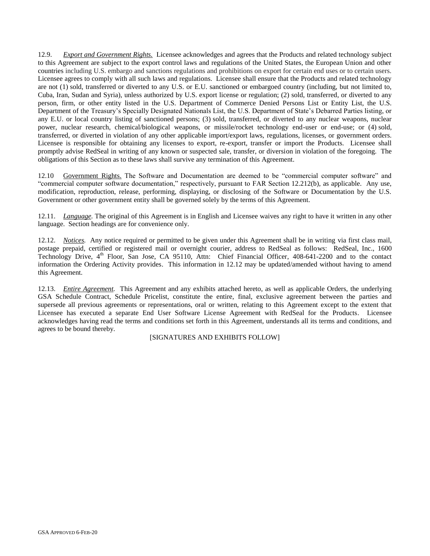12.9. *Export and Government Rights.* Licensee acknowledges and agrees that the Products and related technology subject to this Agreement are subject to the export control laws and regulations of the United States, the European Union and other countries including U.S. embargo and sanctions regulations and prohibitions on export for certain end uses or to certain users. Licensee agrees to comply with all such laws and regulations. Licensee shall ensure that the Products and related technology are not (1) sold, transferred or diverted to any U.S. or E.U. sanctioned or embargoed country (including, but not limited to, Cuba, Iran, Sudan and Syria), unless authorized by U.S. export license or regulation; (2) sold, transferred, or diverted to any person, firm, or other entity listed in the U.S. Department of Commerce Denied Persons List or Entity List, the U.S. Department of the Treasury's Specially Designated Nationals List, the U.S. Department of State's Debarred Parties listing, or any E.U. or local country listing of sanctioned persons; (3) sold, transferred, or diverted to any nuclear weapons, nuclear power, nuclear research, chemical/biological weapons, or missile/rocket technology end-user or end-use; or (4) sold, transferred, or diverted in violation of any other applicable import/export laws, regulations, licenses, or government orders. Licensee is responsible for obtaining any licenses to export, re-export, transfer or import the Products. Licensee shall promptly advise RedSeal in writing of any known or suspected sale, transfer, or diversion in violation of the foregoing. The obligations of this Section as to these laws shall survive any termination of this Agreement.

12.10 Government Rights. The Software and Documentation are deemed to be "commercial computer software" and "commercial computer software documentation," respectively, pursuant to FAR Section 12.212(b), as applicable. Any use, modification, reproduction, release, performing, displaying, or disclosing of the Software or Documentation by the U.S. Government or other government entity shall be governed solely by the terms of this Agreement.

12.11. *Language.* The original of this Agreement is in English and Licensee waives any right to have it written in any other language. Section headings are for convenience only.

12.12. *Notices.* Any notice required or permitted to be given under this Agreement shall be in writing via first class mail, postage prepaid, certified or registered mail or overnight courier, address to RedSeal as follows: RedSeal, Inc., 1600 Technology Drive, 4<sup>th</sup> Floor, San Jose, CA 95110, Attn: Chief Financial Officer, 408-641-2200 and to the contact information the Ordering Activity provides. This information in 12.12 may be updated/amended without having to amend this Agreement.

12.13. *Entire Agreement.* This Agreement and any exhibits attached hereto, as well as applicable Orders, the underlying GSA Schedule Contract, Schedule Pricelist, constitute the entire, final, exclusive agreement between the parties and supersede all previous agreements or representations, oral or written, relating to this Agreement except to the extent that Licensee has executed a separate End User Software License Agreement with RedSeal for the Products. Licensee acknowledges having read the terms and conditions set forth in this Agreement, understands all its terms and conditions, and agrees to be bound thereby.

[SIGNATURES AND EXHIBITS FOLLOW]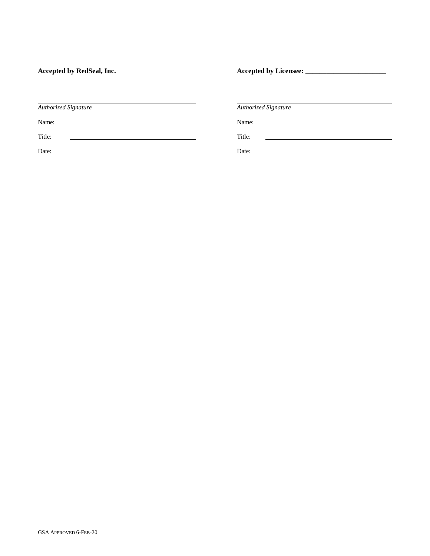Accepted by RedSeal, Inc. *Accepted by Licensee:* 

| <b>Authorized Signature</b> | <b>Authorized Signature</b>                                      |
|-----------------------------|------------------------------------------------------------------|
| Name:                       | Name:<br><u> 1980 - Jan Barbara, martxa al II-lea (h. 1980).</u> |
| Title:                      | Title:                                                           |
| Date:                       | Date:                                                            |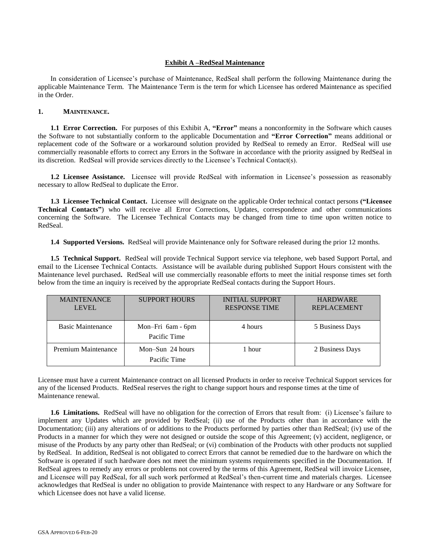#### **Exhibit A –RedSeal Maintenance**

In consideration of Licensee's purchase of Maintenance, RedSeal shall perform the following Maintenance during the applicable Maintenance Term. The Maintenance Term is the term for which Licensee has ordered Maintenance as specified in the Order.

#### **1. MAINTENANCE.**

**1.1 Error Correction.** For purposes of this Exhibit A, **"Error"** means a nonconformity in the Software which causes the Software to not substantially conform to the applicable Documentation and **"Error Correction"** means additional or replacement code of the Software or a workaround solution provided by RedSeal to remedy an Error. RedSeal will use commercially reasonable efforts to correct any Errors in the Software in accordance with the priority assigned by RedSeal in its discretion. RedSeal will provide services directly to the Licensee's Technical Contact(s).

**1.2 Licensee Assistance.** Licensee will provide RedSeal with information in Licensee's possession as reasonably necessary to allow RedSeal to duplicate the Error.

**1.3 Licensee Technical Contact.** Licensee will designate on the applicable Order technical contact persons **("Licensee Technical Contacts"**) who will receive all Error Corrections, Updates, correspondence and other communications concerning the Software. The Licensee Technical Contacts may be changed from time to time upon written notice to RedSeal.

**1.4 Supported Versions.** RedSeal will provide Maintenance only for Software released during the prior 12 months.

**1.5 Technical Support.** RedSeal will provide Technical Support service via telephone, web based Support Portal, and email to the Licensee Technical Contacts. Assistance will be available during published Support Hours consistent with the Maintenance level purchased**.** RedSeal will use commercially reasonable efforts to meet the initial response times set forth below from the time an inquiry is received by the appropriate RedSeal contacts during the Support Hours.

| <b>MAINTENANCE</b><br><b>LEVEL</b> | <b>SUPPORT HOURS</b>               | <b>INITIAL SUPPORT</b><br><b>RESPONSE TIME</b> | <b>HARDWARE</b><br><b>REPLACEMENT</b> |
|------------------------------------|------------------------------------|------------------------------------------------|---------------------------------------|
| <b>Basic Maintenance</b>           | Mon-Fri 6am - 6pm<br>Pacific Time  | 4 hours                                        | 5 Business Days                       |
| Premium Maintenance                | Mon-Sun $24$ hours<br>Pacific Time | l hour                                         | 2 Business Days                       |

Licensee must have a current Maintenance contract on all licensed Products in order to receive Technical Support services for any of the licensed Products. RedSeal reserves the right to change support hours and response times at the time of Maintenance renewal.

**1.6 Limitations.** RedSeal will have no obligation for the correction of Errors that result from: (i) Licensee's failure to implement any Updates which are provided by RedSeal; (ii) use of the Products other than in accordance with the Documentation; (iii) any alterations of or additions to the Products performed by parties other than RedSeal; (iv) use of the Products in a manner for which they were not designed or outside the scope of this Agreement; (v) accident, negligence, or misuse of the Products by any party other than RedSeal; or (vi) combination of the Products with other products not supplied by RedSeal. In addition, RedSeal is not obligated to correct Errors that cannot be remedied due to the hardware on which the Software is operated if such hardware does not meet the minimum systems requirements specified in the Documentation. If RedSeal agrees to remedy any errors or problems not covered by the terms of this Agreement, RedSeal will invoice Licensee, and Licensee will pay RedSeal, for all such work performed at RedSeal's then-current time and materials charges. Licensee acknowledges that RedSeal is under no obligation to provide Maintenance with respect to any Hardware or any Software for which Licensee does not have a valid license.